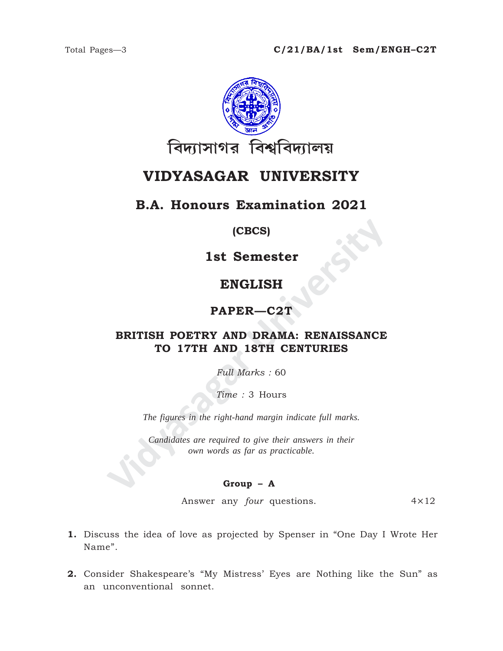

# **VIDYASAGAR UNIVERSITY**

## **B.A. Honours Examination 2021**

#### **(CBCS)**

**1st Semester**

## **ENGLISH**

### **PAPER—C2T**

# **IST SEMELISH<br>
ENGLISH<br>
PAPER—C2T<br>
BRITISH POETRY AND DRAMA: RENAISSANCE<br>
TO 17TH AND 18TH CENTURIES<br>
Full Marks : 60<br>
Time : 3 Hours<br>
The figures in the right-hand margin indicate full marks.<br>
Candidates are required to g BRITISH POETRY AND DRAMA: RENAISSANCE TO 17TH AND 18TH CENTURIES**

*Full Marks :* 60

*Time :* 3 Hours

*The figures in the right-hand margin indicate full marks.*

*Candidates are required to give their answers in their own words as far as practicable.*

#### **Group – A**

Answer any *four* questions. 4×12

- **1.** Discuss the idea of love as projected by Spenser in "One Day I Wrote Her Name".
- **2.** Consider Shakespeare's "My Mistress' Eyes are Nothing like the Sun" as an unconventional sonnet.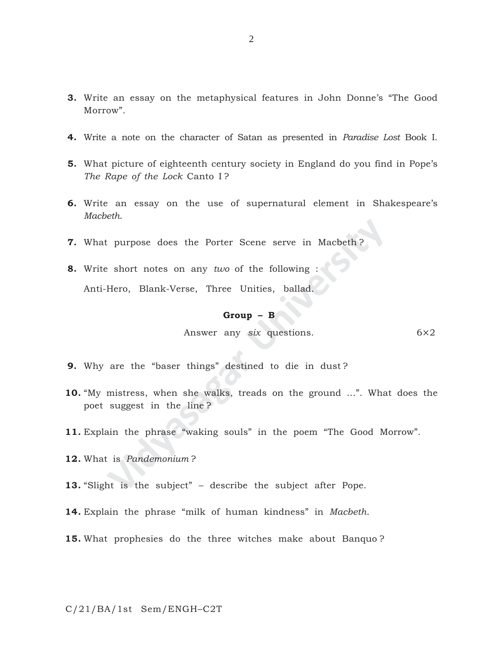- **3.** Write an essay on the metaphysical features in John Donne's "The Good Morrow".
- **4.** Write a note on the character of Satan as presented in *Paradise Lost* Book I.
- **5.** What picture of eighteenth century society in England do you find in Pope's *The Rape of the Lock* Canto I ?
- **6.** Write an essay on the use of supernatural element in Shakespeare's *Macbeth*.
- **7.** What purpose does the Porter Scene serve in Macbeth ?
- **8.** Write short notes on any *two* of the following : Anti-Hero, Blank-Verse, Three Unities, ballad.

#### **Group – B**

Answer any *six* questions. 6×2

- **9.** Why are the "baser things" destined to die in dust ?
- Examples the Porter Scene serve in Macbeth?<br> **Examples 1:** Short notes on any *two* of the following :<br>
Hero, Blank-Verse, Three Unities, ballad.<br> **Group B**<br>
Answer any *six* questions.<br>
are the "baser things" destined t **10.** "My mistress, when she walks, treads on the ground ...". What does the poet suggest in the line ?
- **11.** Explain the phrase "waking souls" in the poem "The Good Morrow".
- **12.** What is *Pandemonium* ?
- **13.** "Slight is the subject" describe the subject after Pope.
- **14.** Explain the phrase "milk of human kindness" in *Macbeth*.
- **15.** What prophesies do the three witches make about Banquo ?

C/21/BA/1st Sem/ENGH–C2T